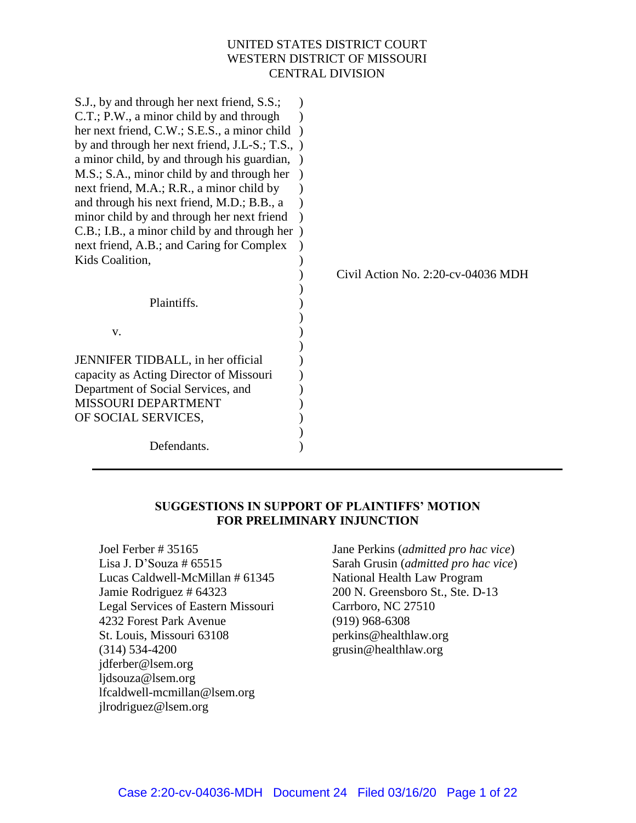### UNITED STATES DISTRICT COURT WESTERN DISTRICT OF MISSOURI CENTRAL DIVISION

| S.J., by and through her next friend, S.S.;<br>C.T.; P.W., a minor child by and through |                                    |
|-----------------------------------------------------------------------------------------|------------------------------------|
| her next friend, C.W.; S.E.S., a minor child                                            |                                    |
|                                                                                         |                                    |
| by and through her next friend, J.L-S.; T.S., )                                         |                                    |
| a minor child, by and through his guardian,                                             |                                    |
| M.S.; S.A., minor child by and through her                                              |                                    |
| next friend, M.A.; R.R., a minor child by                                               |                                    |
| and through his next friend, M.D.; B.B., a                                              |                                    |
| minor child by and through her next friend                                              |                                    |
| C.B.; I.B., a minor child by and through her)                                           |                                    |
| next friend, A.B.; and Caring for Complex                                               |                                    |
| Kids Coalition,                                                                         |                                    |
|                                                                                         | Civil Action No. 2:20-cv-04036 MDH |
|                                                                                         |                                    |
| Plaintiffs.                                                                             |                                    |
|                                                                                         |                                    |
| V.                                                                                      |                                    |
|                                                                                         |                                    |
| JENNIFER TIDBALL, in her official                                                       |                                    |
| capacity as Acting Director of Missouri                                                 |                                    |
| Department of Social Services, and                                                      |                                    |
| <b>MISSOURI DEPARTMENT</b>                                                              |                                    |
| OF SOCIAL SERVICES,                                                                     |                                    |
|                                                                                         |                                    |
| Defendants.                                                                             |                                    |

### **SUGGESTIONS IN SUPPORT OF PLAINTIFFS' MOTION FOR PRELIMINARY INJUNCTION**

Joel Ferber # 35165 Lisa J. D'Souza # 65515 Lucas Caldwell-McMillan # 61345 Jamie Rodriguez # 64323 Legal Services of Eastern Missouri 4232 Forest Park Avenue St. Louis, Missouri 63108 (314) 534-4200 jdferber@lsem.org ljdsouza@lsem.org lfcaldwell-mcmillan@lsem.org jlrodriguez@lsem.org

Jane Perkins (*admitted pro hac vice*) Sarah Grusin (*admitted pro hac vice*) National Health Law Program 200 N. Greensboro St., Ste. D-13 Carrboro, NC 27510 (919) 968-6308 perkins@healthlaw.org grusin@healthlaw.org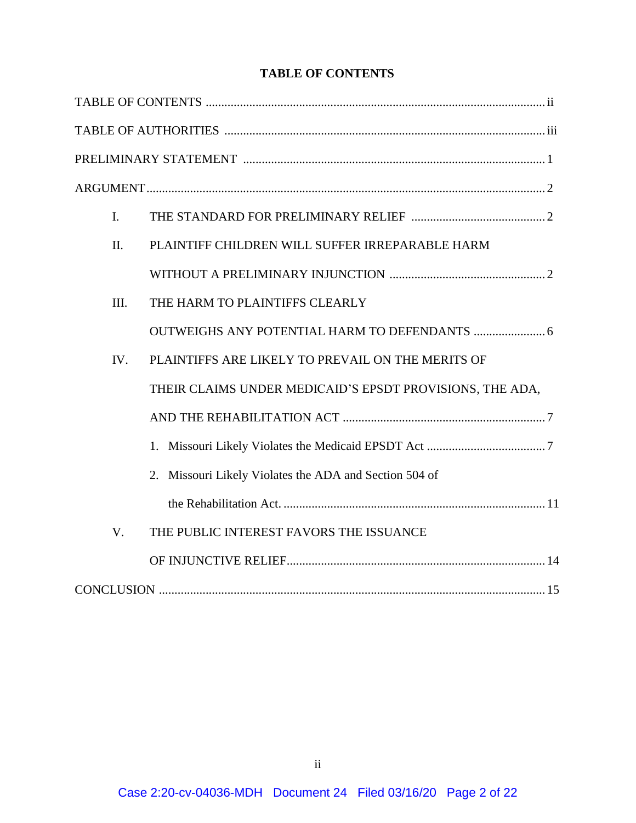# **TABLE OF CONTENTS**

| $\mathbf{I}$ . |                                                          |  |
|----------------|----------------------------------------------------------|--|
| II.            | PLAINTIFF CHILDREN WILL SUFFER IRREPARABLE HARM          |  |
|                |                                                          |  |
| III.           | THE HARM TO PLAINTIFFS CLEARLY                           |  |
|                |                                                          |  |
| IV.            | PLAINTIFFS ARE LIKELY TO PREVAIL ON THE MERITS OF        |  |
|                | THEIR CLAIMS UNDER MEDICAID'S EPSDT PROVISIONS, THE ADA, |  |
|                |                                                          |  |
|                |                                                          |  |
|                | 2. Missouri Likely Violates the ADA and Section 504 of   |  |
|                |                                                          |  |
| V.             | THE PUBLIC INTEREST FAVORS THE ISSUANCE                  |  |
|                |                                                          |  |
|                |                                                          |  |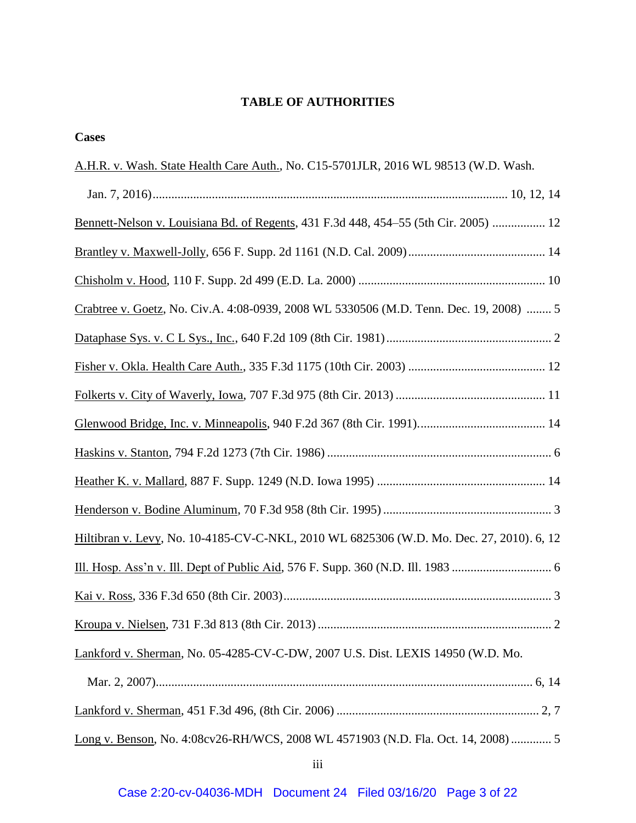# **TABLE OF AUTHORITIES**

| <b>Cases</b>                                                                                 |
|----------------------------------------------------------------------------------------------|
| A.H.R. v. Wash. State Health Care Auth., No. C15-5701JLR, 2016 WL 98513 (W.D. Wash.          |
|                                                                                              |
| <u>Bennett-Nelson v. Louisiana Bd. of Regents</u> , 431 F.3d 448, 454–55 (5th Cir. 2005)  12 |
|                                                                                              |
|                                                                                              |
| Crabtree v. Goetz, No. Civ.A. 4:08-0939, 2008 WL 5330506 (M.D. Tenn. Dec. 19, 2008)  5       |
|                                                                                              |
|                                                                                              |
|                                                                                              |
|                                                                                              |
|                                                                                              |
|                                                                                              |
|                                                                                              |
| Hiltibran v. Levy, No. 10-4185-CV-C-NKL, 2010 WL 6825306 (W.D. Mo. Dec. 27, 2010). 6, 12     |
|                                                                                              |
| $\cdot$ 3                                                                                    |
|                                                                                              |
| Lankford v. Sherman, No. 05-4285-CV-C-DW, 2007 U.S. Dist. LEXIS 14950 (W.D. Mo.              |
|                                                                                              |
|                                                                                              |
| Long v. Benson, No. 4:08cv26-RH/WCS, 2008 WL 4571903 (N.D. Fla. Oct. 14, 2008)  5            |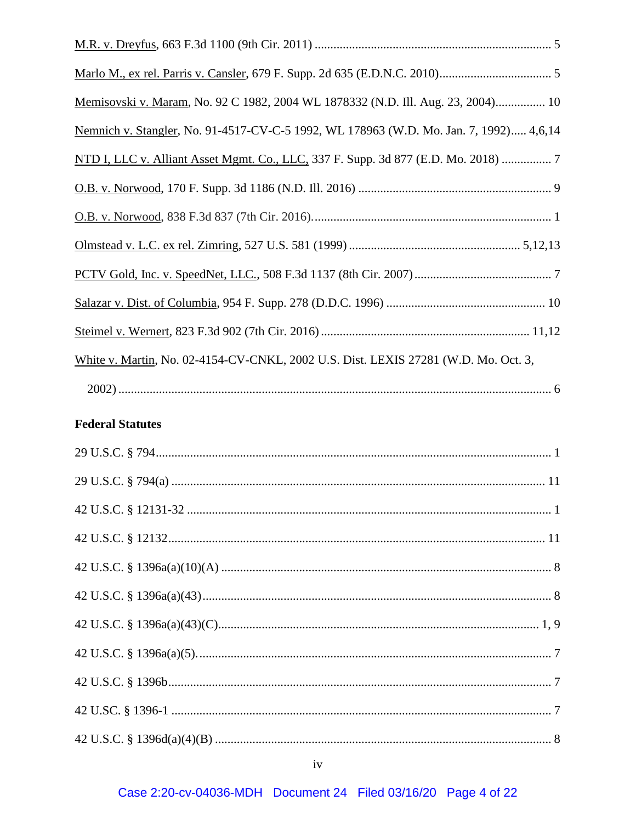| Memisovski v. Maram, No. 92 C 1982, 2004 WL 1878332 (N.D. Ill. Aug. 23, 2004) 10       |
|----------------------------------------------------------------------------------------|
| Nemnich v. Stangler, No. 91-4517-CV-C-5 1992, WL 178963 (W.D. Mo. Jan. 7, 1992) 4,6,14 |
| NTD I, LLC v. Alliant Asset Mgmt. Co., LLC, 337 F. Supp. 3d 877 (E.D. Mo. 2018)  7     |
|                                                                                        |
|                                                                                        |
|                                                                                        |
|                                                                                        |
|                                                                                        |
|                                                                                        |
| White v. Martin, No. 02-4154-CV-CNKL, 2002 U.S. Dist. LEXIS 27281 (W.D. Mo. Oct. 3,    |
|                                                                                        |
| <b>Federal Statutes</b>                                                                |
|                                                                                        |
|                                                                                        |
|                                                                                        |
|                                                                                        |
|                                                                                        |
|                                                                                        |
|                                                                                        |
|                                                                                        |
|                                                                                        |
|                                                                                        |
|                                                                                        |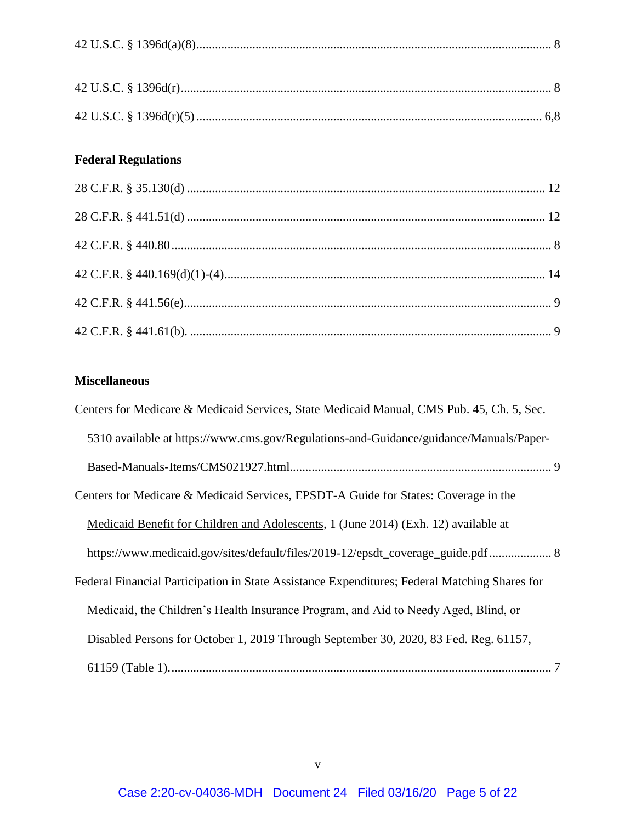# **Federal Regulations**

# **Miscellaneous**

| Centers for Medicare & Medicaid Services, State Medicaid Manual, CMS Pub. 45, Ch. 5, Sec.     |
|-----------------------------------------------------------------------------------------------|
| 5310 available at https://www.cms.gov/Regulations-and-Guidance/guidance/Manuals/Paper-        |
|                                                                                               |
| Centers for Medicare & Medicaid Services, EPSDT-A Guide for States: Coverage in the           |
| Medicaid Benefit for Children and Adolescents, 1 (June 2014) (Exh. 12) available at           |
| https://www.medicaid.gov/sites/default/files/2019-12/epsdt_coverage_guide.pdf 8               |
| Federal Financial Participation in State Assistance Expenditures; Federal Matching Shares for |
| Medicaid, the Children's Health Insurance Program, and Aid to Needy Aged, Blind, or           |
| Disabled Persons for October 1, 2019 Through September 30, 2020, 83 Fed. Reg. 61157,          |
|                                                                                               |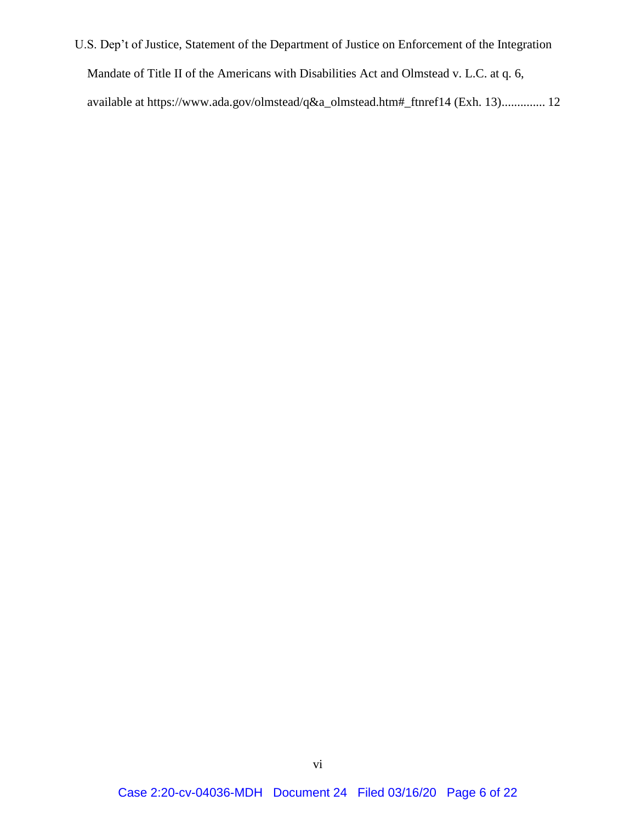U.S. Dep't of Justice, Statement of the Department of Justice on Enforcement of the Integration Mandate of Title II of the Americans with Disabilities Act and Olmstead v. L.C. at q. 6, available at https://www.ada.gov/olmstead/q&a\_olmstead.htm#\_ftnref14 (Exh. 13).............. 12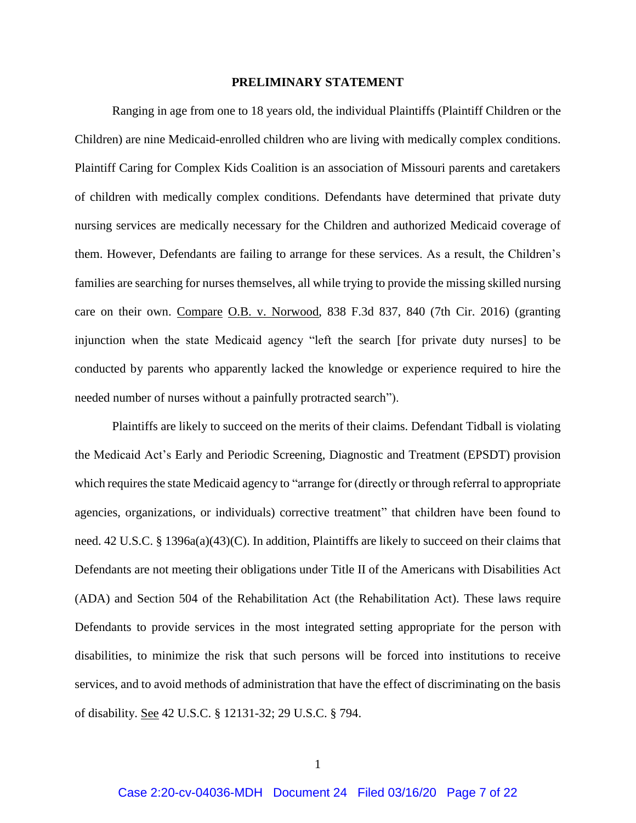#### **PRELIMINARY STATEMENT**

Ranging in age from one to 18 years old, the individual Plaintiffs (Plaintiff Children or the Children) are nine Medicaid-enrolled children who are living with medically complex conditions. Plaintiff Caring for Complex Kids Coalition is an association of Missouri parents and caretakers of children with medically complex conditions. Defendants have determined that private duty nursing services are medically necessary for the Children and authorized Medicaid coverage of them. However, Defendants are failing to arrange for these services. As a result, the Children's families are searching for nurses themselves, all while trying to provide the missing skilled nursing care on their own. Compare O.B. v. Norwood, 838 F.3d 837, 840 (7th Cir. 2016) (granting injunction when the state Medicaid agency "left the search [for private duty nurses] to be conducted by parents who apparently lacked the knowledge or experience required to hire the needed number of nurses without a painfully protracted search").

Plaintiffs are likely to succeed on the merits of their claims. Defendant Tidball is violating the Medicaid Act's Early and Periodic Screening, Diagnostic and Treatment (EPSDT) provision which requires the state Medicaid agency to "arrange for (directly or through referral to appropriate agencies, organizations, or individuals) corrective treatment" that children have been found to need. 42 U.S.C. § 1396a(a)(43)(C). In addition, Plaintiffs are likely to succeed on their claims that Defendants are not meeting their obligations under Title II of the Americans with Disabilities Act (ADA) and Section 504 of the Rehabilitation Act (the Rehabilitation Act). These laws require Defendants to provide services in the most integrated setting appropriate for the person with disabilities, to minimize the risk that such persons will be forced into institutions to receive services, and to avoid methods of administration that have the effect of discriminating on the basis of disability. See 42 U.S.C. § 12131-32; 29 U.S.C. § 794.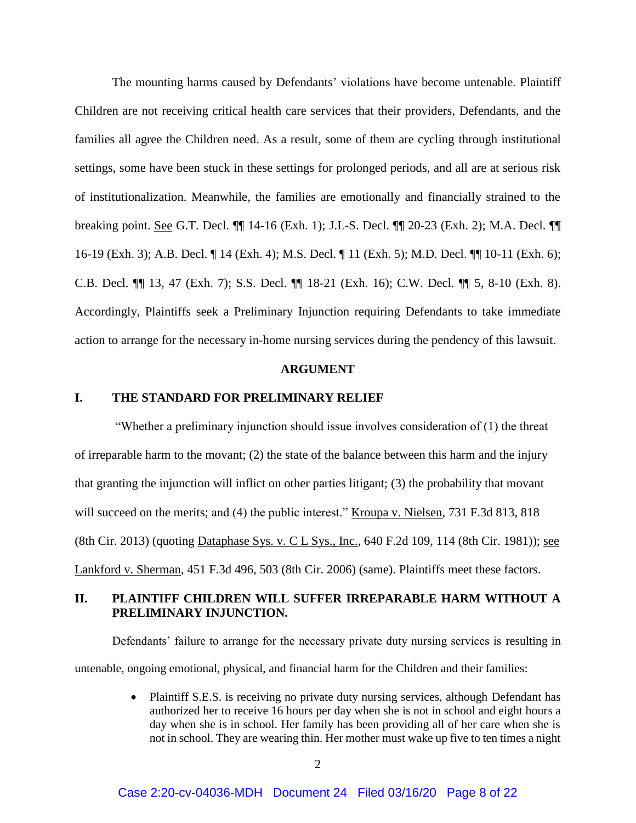The mounting harms caused by Defendants' violations have become untenable. Plaintiff Children are not receiving critical health care services that their providers, Defendants, and the families all agree the Children need. As a result, some of them are cycling through institutional settings, some have been stuck in these settings for prolonged periods, and all are at serious risk of institutionalization. Meanwhile, the families are emotionally and financially strained to the breaking point. See G.T. Decl. ¶¶ 14-16 (Exh. 1); J.L-S. Decl. ¶¶ 20-23 (Exh. 2); M.A. Decl. ¶¶ 16-19 (Exh. 3); A.B. Decl. ¶ 14 (Exh. 4); M.S. Decl. ¶ 11 (Exh. 5); M.D. Decl. ¶¶ 10-11 (Exh. 6); C.B. Decl. ¶¶ 13, 47 (Exh. 7); S.S. Decl. ¶¶ 18-21 (Exh. 16); C.W. Decl. ¶¶ 5, 8-10 (Exh. 8). Accordingly, Plaintiffs seek a Preliminary Injunction requiring Defendants to take immediate action to arrange for the necessary in-home nursing services during the pendency of this lawsuit.

#### **ARGUMENT**

#### **I. THE STANDARD FOR PRELIMINARY RELIEF**

"Whether a preliminary injunction should issue involves consideration of (1) the threat of irreparable harm to the movant; (2) the state of the balance between this harm and the injury that granting the injunction will inflict on other parties litigant; (3) the probability that movant will succeed on the merits; and (4) the public interest." Kroupa v. Nielsen, 731 F.3d 813, 818 (8th Cir. 2013) (quoting Dataphase Sys. v. C L Sys., Inc., 640 F.2d 109, 114 (8th Cir. 1981)); see Lankford v. Sherman, 451 F.3d 496, 503 (8th Cir. 2006) (same). Plaintiffs meet these factors.

### **II. PLAINTIFF CHILDREN WILL SUFFER IRREPARABLE HARM WITHOUT A PRELIMINARY INJUNCTION.**

Defendants' failure to arrange for the necessary private duty nursing services is resulting in untenable, ongoing emotional, physical, and financial harm for the Children and their families:

> • Plaintiff S.E.S. is receiving no private duty nursing services, although Defendant has authorized her to receive 16 hours per day when she is not in school and eight hours a day when she is in school. Her family has been providing all of her care when she is not in school. They are wearing thin. Her mother must wake up five to ten times a night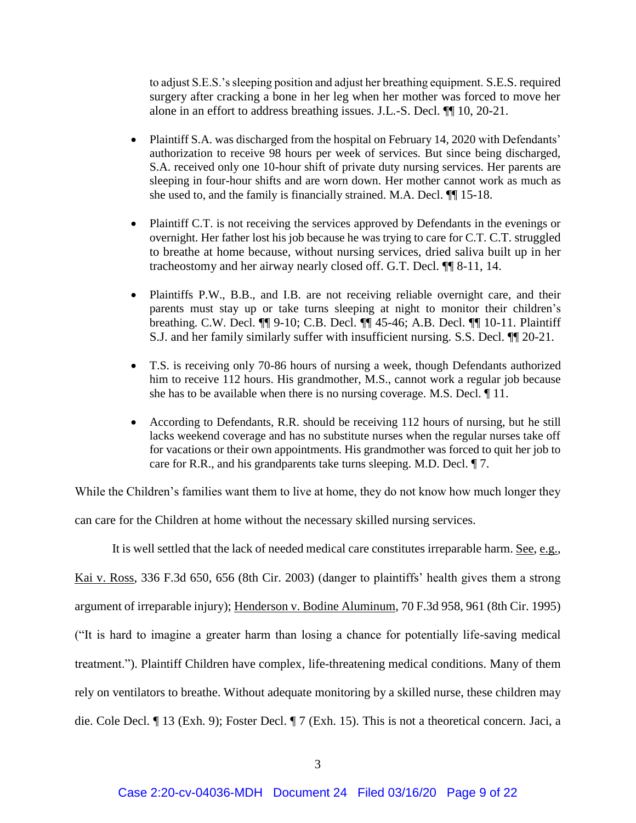to adjust S.E.S.'s sleeping position and adjust her breathing equipment. S.E.S. required surgery after cracking a bone in her leg when her mother was forced to move her alone in an effort to address breathing issues. J.L.-S. Decl. ¶¶ 10, 20-21.

- Plaintiff S.A. was discharged from the hospital on February 14, 2020 with Defendants' authorization to receive 98 hours per week of services. But since being discharged, S.A. received only one 10-hour shift of private duty nursing services. Her parents are sleeping in four-hour shifts and are worn down. Her mother cannot work as much as she used to, and the family is financially strained. M.A. Decl. ¶¶ 15-18.
- Plaintiff C.T. is not receiving the services approved by Defendants in the evenings or overnight. Her father lost his job because he was trying to care for C.T. C.T. struggled to breathe at home because, without nursing services, dried saliva built up in her tracheostomy and her airway nearly closed off. G.T. Decl. ¶¶ 8-11, 14.
- Plaintiffs P.W., B.B., and I.B. are not receiving reliable overnight care, and their parents must stay up or take turns sleeping at night to monitor their children's breathing. C.W. Decl. ¶¶ 9-10; C.B. Decl. ¶¶ 45-46; A.B. Decl. ¶¶ 10-11. Plaintiff S.J. and her family similarly suffer with insufficient nursing. S.S. Decl. ¶¶ 20-21.
- T.S. is receiving only 70-86 hours of nursing a week, though Defendants authorized him to receive 112 hours. His grandmother, M.S., cannot work a regular job because she has to be available when there is no nursing coverage. M.S. Decl. ¶ 11.
- According to Defendants, R.R. should be receiving 112 hours of nursing, but he still lacks weekend coverage and has no substitute nurses when the regular nurses take off for vacations or their own appointments. His grandmother was forced to quit her job to care for R.R., and his grandparents take turns sleeping. M.D. Decl. ¶ 7.

While the Children's families want them to live at home, they do not know how much longer they

can care for the Children at home without the necessary skilled nursing services.

It is well settled that the lack of needed medical care constitutes irreparable harm. See, e.g., Kai v. Ross, 336 F.3d 650, 656 (8th Cir. 2003) (danger to plaintiffs' health gives them a strong argument of irreparable injury); Henderson v. Bodine Aluminum, 70 F.3d 958, 961 (8th Cir. 1995) ("It is hard to imagine a greater harm than losing a chance for potentially life-saving medical treatment."). Plaintiff Children have complex, life-threatening medical conditions. Many of them rely on ventilators to breathe. Without adequate monitoring by a skilled nurse, these children may die. Cole Decl. ¶ 13 (Exh. 9); Foster Decl. ¶ 7 (Exh. 15). This is not a theoretical concern. Jaci, a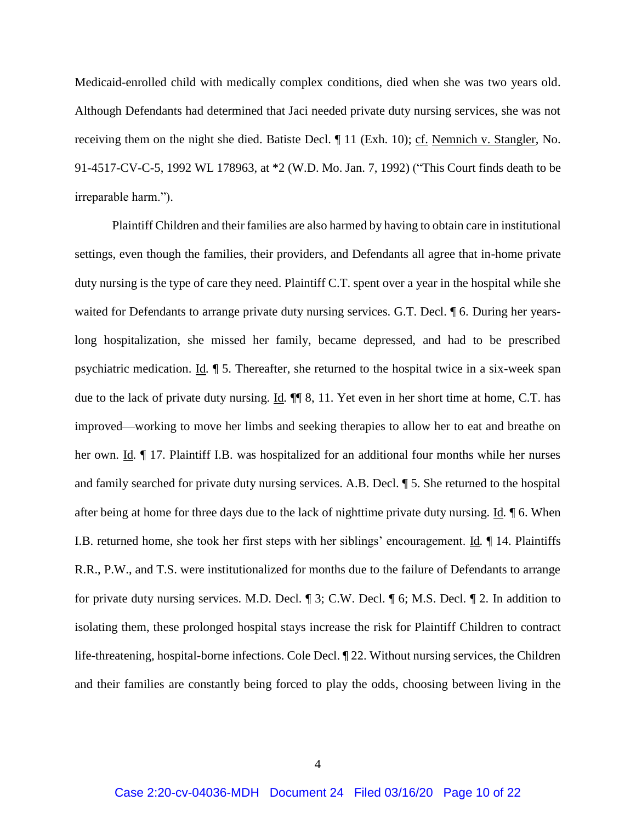Medicaid-enrolled child with medically complex conditions, died when she was two years old. Although Defendants had determined that Jaci needed private duty nursing services, she was not receiving them on the night she died. Batiste Decl. ¶ 11 (Exh. 10); cf. Nemnich v. Stangler, No. 91-4517-CV-C-5, 1992 WL 178963, at \*2 (W.D. Mo. Jan. 7, 1992) ("This Court finds death to be irreparable harm.").

Plaintiff Children and their families are also harmed by having to obtain care in institutional settings, even though the families, their providers, and Defendants all agree that in-home private duty nursing is the type of care they need. Plaintiff C.T. spent over a year in the hospital while she waited for Defendants to arrange private duty nursing services. G.T. Decl.  $\llbracket$  6. During her yearslong hospitalization, she missed her family, became depressed, and had to be prescribed psychiatric medication. Id*.* ¶ 5. Thereafter, she returned to the hospital twice in a six-week span due to the lack of private duty nursing. Id.  $\P$ <sub>8</sub>, 11. Yet even in her short time at home, C.T. has improved—working to move her limbs and seeking therapies to allow her to eat and breathe on her own. Id*.* ¶ 17. Plaintiff I.B. was hospitalized for an additional four months while her nurses and family searched for private duty nursing services. A.B. Decl. ¶ 5. She returned to the hospital after being at home for three days due to the lack of nighttime private duty nursing. Id*.* ¶ 6. When I.B. returned home, she took her first steps with her siblings' encouragement. Id*.* ¶ 14. Plaintiffs R.R., P.W., and T.S. were institutionalized for months due to the failure of Defendants to arrange for private duty nursing services. M.D. Decl. ¶ 3; C.W. Decl. ¶ 6; M.S. Decl. ¶ 2. In addition to isolating them, these prolonged hospital stays increase the risk for Plaintiff Children to contract life-threatening, hospital-borne infections. Cole Decl. ¶ 22. Without nursing services, the Children and their families are constantly being forced to play the odds, choosing between living in the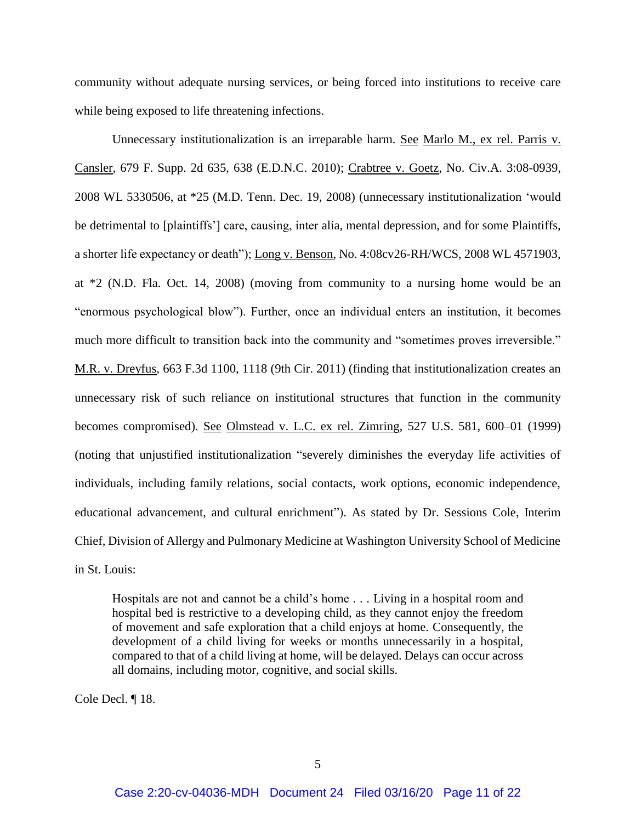community without adequate nursing services, or being forced into institutions to receive care while being exposed to life threatening infections.

Unnecessary institutionalization is an irreparable harm. See Marlo M., ex rel. Parris v. Cansler, 679 F. Supp. 2d 635, 638 (E.D.N.C. 2010); Crabtree v. Goetz, No. Civ.A. 3:08-0939, 2008 WL 5330506, at \*25 (M.D. Tenn. Dec. 19, 2008) (unnecessary institutionalization 'would be detrimental to [plaintiffs'] care, causing, inter alia, mental depression, and for some Plaintiffs, a shorter life expectancy or death"); Long v. Benson, No. 4:08cv26-RH/WCS, 2008 WL 4571903, at \*2 (N.D. Fla. Oct. 14, 2008) (moving from community to a nursing home would be an "enormous psychological blow"). Further, once an individual enters an institution, it becomes much more difficult to transition back into the community and "sometimes proves irreversible." M.R. v. Dreyfus, 663 F.3d 1100, 1118 (9th Cir. 2011) (finding that institutionalization creates an unnecessary risk of such reliance on institutional structures that function in the community becomes compromised). See Olmstead v. L.C. ex rel. Zimring, 527 U.S. 581, 600–01 (1999) (noting that unjustified institutionalization "severely diminishes the everyday life activities of individuals, including family relations, social contacts, work options, economic independence, educational advancement, and cultural enrichment"). As stated by Dr. Sessions Cole, Interim Chief, Division of Allergy and Pulmonary Medicine at Washington University School of Medicine in St. Louis:

Hospitals are not and cannot be a child's home . . . Living in a hospital room and hospital bed is restrictive to a developing child, as they cannot enjoy the freedom of movement and safe exploration that a child enjoys at home. Consequently, the development of a child living for weeks or months unnecessarily in a hospital, compared to that of a child living at home, will be delayed. Delays can occur across all domains, including motor, cognitive, and social skills.

Cole Decl. ¶ 18.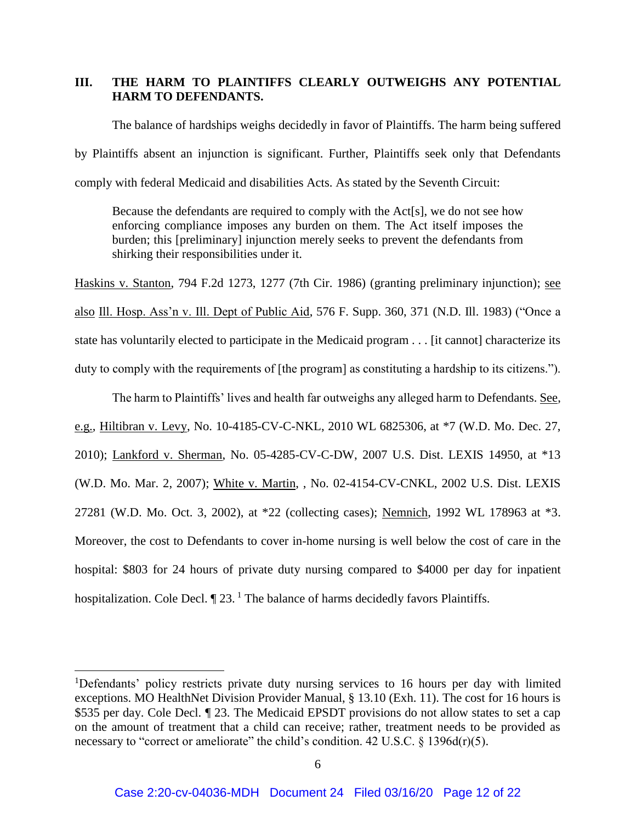## **III. THE HARM TO PLAINTIFFS CLEARLY OUTWEIGHS ANY POTENTIAL HARM TO DEFENDANTS.**

The balance of hardships weighs decidedly in favor of Plaintiffs. The harm being suffered by Plaintiffs absent an injunction is significant. Further, Plaintiffs seek only that Defendants comply with federal Medicaid and disabilities Acts. As stated by the Seventh Circuit:

Because the defendants are required to comply with the Act[s], we do not see how enforcing compliance imposes any burden on them. The Act itself imposes the burden; this [preliminary] injunction merely seeks to prevent the defendants from shirking their responsibilities under it.

Haskins v. Stanton, 794 F.2d 1273, 1277 (7th Cir. 1986) (granting preliminary injunction); see also Ill. Hosp. Ass'n v. Ill. Dept of Public Aid, 576 F. Supp. 360, 371 (N.D. Ill. 1983) ("Once a state has voluntarily elected to participate in the Medicaid program . . . [it cannot] characterize its duty to comply with the requirements of [the program] as constituting a hardship to its citizens.").

The harm to Plaintiffs' lives and health far outweighs any alleged harm to Defendants. See, e.g., Hiltibran v. Levy, No. 10-4185-CV-C-NKL, 2010 WL 6825306, at \*7 (W.D. Mo. Dec. 27, 2010); Lankford v. Sherman, No. 05-4285-CV-C-DW, 2007 U.S. Dist. LEXIS 14950, at \*13 (W.D. Mo. Mar. 2, 2007); White v. Martin, , No. 02-4154-CV-CNKL, 2002 U.S. Dist. LEXIS 27281 (W.D. Mo. Oct. 3, 2002), at \*22 (collecting cases); Nemnich, 1992 WL 178963 at \*3. Moreover, the cost to Defendants to cover in-home nursing is well below the cost of care in the hospital: \$803 for 24 hours of private duty nursing compared to \$4000 per day for inpatient hospitalization. Cole Decl.  $\P$  23.<sup>1</sup> The balance of harms decidedly favors Plaintiffs.

 $\overline{a}$ 

<sup>&</sup>lt;sup>1</sup>Defendants' policy restricts private duty nursing services to 16 hours per day with limited exceptions. MO HealthNet Division Provider Manual, § 13.10 (Exh. 11). The cost for 16 hours is \$535 per day. Cole Decl.  $\parallel$  23. The Medicaid EPSDT provisions do not allow states to set a cap on the amount of treatment that a child can receive; rather, treatment needs to be provided as necessary to "correct or ameliorate" the child's condition. 42 U.S.C.  $\S$  1396d(r)(5).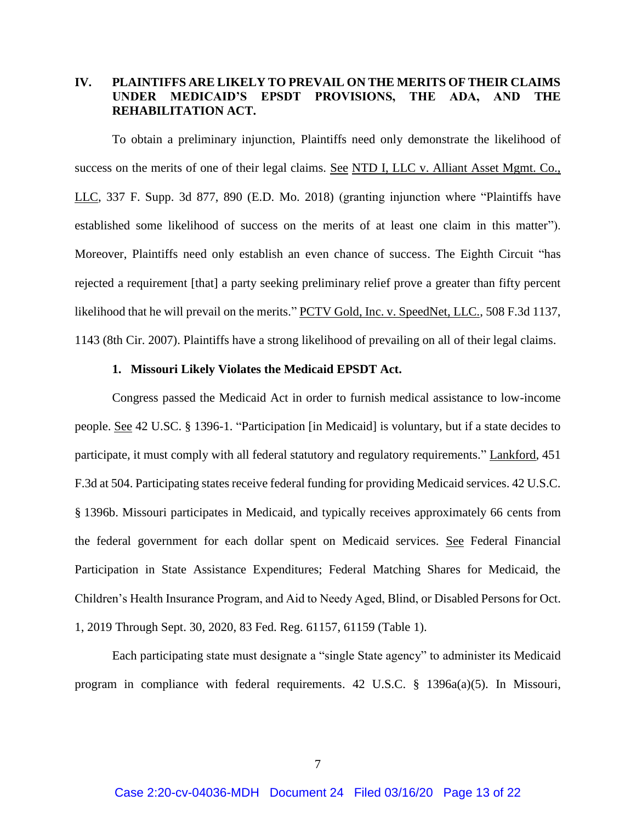# **IV. PLAINTIFFS ARE LIKELY TO PREVAIL ON THE MERITS OF THEIR CLAIMS UNDER MEDICAID'S EPSDT PROVISIONS, THE ADA, AND THE REHABILITATION ACT.**

To obtain a preliminary injunction, Plaintiffs need only demonstrate the likelihood of success on the merits of one of their legal claims. See NTD I, LLC v. Alliant Asset Mgmt. Co., LLC, 337 F. Supp. 3d 877, 890 (E.D. Mo. 2018) (granting injunction where "Plaintiffs have established some likelihood of success on the merits of at least one claim in this matter"). Moreover, Plaintiffs need only establish an even chance of success. The Eighth Circuit "has rejected a requirement [that] a party seeking preliminary relief prove a greater than fifty percent likelihood that he will prevail on the merits." PCTV Gold, Inc. v. SpeedNet, LLC., 508 F.3d 1137, 1143 (8th Cir. 2007). Plaintiffs have a strong likelihood of prevailing on all of their legal claims.

#### **1. Missouri Likely Violates the Medicaid EPSDT Act.**

Congress passed the Medicaid Act in order to furnish medical assistance to low-income people. See 42 U.SC. § 1396-1. "Participation [in Medicaid] is voluntary, but if a state decides to participate, it must comply with all federal statutory and regulatory requirements." Lankford, 451 F.3d at 504. Participating states receive federal funding for providing Medicaid services. 42 U.S.C. § 1396b. Missouri participates in Medicaid, and typically receives approximately 66 cents from the federal government for each dollar spent on Medicaid services. See Federal Financial Participation in State Assistance Expenditures; Federal Matching Shares for Medicaid, the Children's Health Insurance Program, and Aid to Needy Aged, Blind, or Disabled Persons for Oct. 1, 2019 Through Sept. 30, 2020, 83 Fed. Reg. 61157, 61159 (Table 1).

Each participating state must designate a "single State agency" to administer its Medicaid program in compliance with federal requirements. 42 U.S.C. § 1396a(a)(5). In Missouri,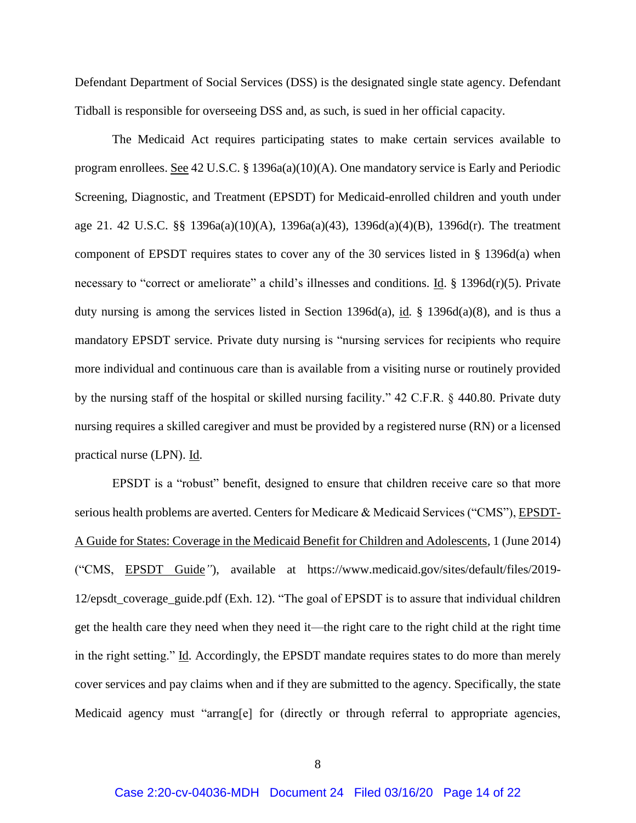Defendant Department of Social Services (DSS) is the designated single state agency. Defendant Tidball is responsible for overseeing DSS and, as such, is sued in her official capacity.

The Medicaid Act requires participating states to make certain services available to program enrollees. See 42 U.S.C. § 1396a(a)(10)(A). One mandatory service is Early and Periodic Screening, Diagnostic, and Treatment (EPSDT) for Medicaid-enrolled children and youth under age 21. 42 U.S.C. §§ 1396a(a)(10)(A), 1396a(a)(43), 1396d(a)(4)(B), 1396d(r). The treatment component of EPSDT requires states to cover any of the 30 services listed in § 1396d(a) when necessary to "correct or ameliorate" a child's illnesses and conditions. Id. § 1396d(r)(5). Private duty nursing is among the services listed in Section 1396d(a), id*.* § 1396d(a)(8), and is thus a mandatory EPSDT service. Private duty nursing is "nursing services for recipients who require more individual and continuous care than is available from a visiting nurse or routinely provided by the nursing staff of the hospital or skilled nursing facility." 42 C.F.R. § 440.80. Private duty nursing requires a skilled caregiver and must be provided by a registered nurse (RN) or a licensed practical nurse (LPN). Id.

EPSDT is a "robust" benefit, designed to ensure that children receive care so that more serious health problems are averted. Centers for Medicare & Medicaid Services ("CMS"), EPSDT-A Guide for States: Coverage in the Medicaid Benefit for Children and Adolescents*,* 1 (June 2014) ("CMS, EPSDT Guide*"*), available at https://www.medicaid.gov/sites/default/files/2019- 12/epsdt\_coverage\_guide.pdf (Exh. 12). "The goal of EPSDT is to assure that individual children get the health care they need when they need it—the right care to the right child at the right time in the right setting." Id. Accordingly, the EPSDT mandate requires states to do more than merely cover services and pay claims when and if they are submitted to the agency. Specifically, the state Medicaid agency must "arrang[e] for (directly or through referral to appropriate agencies,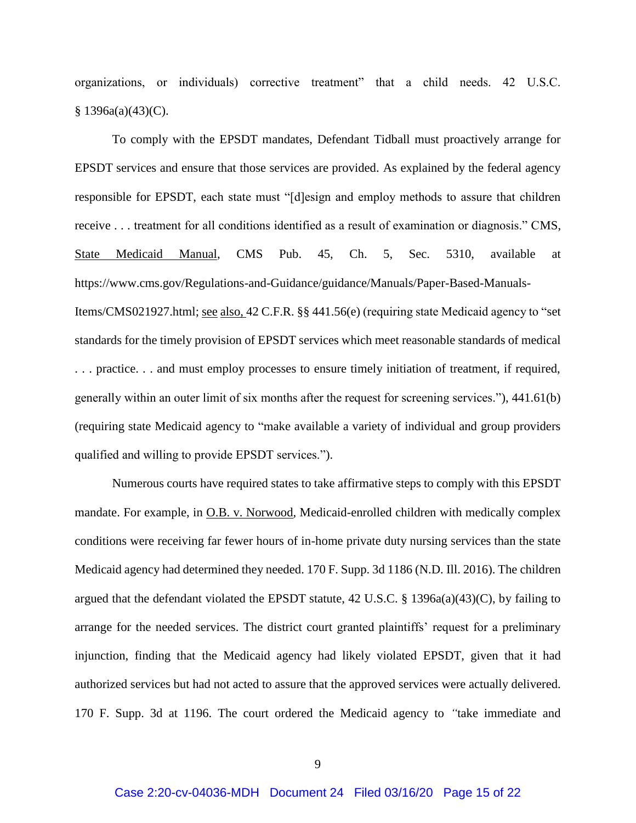organizations, or individuals) corrective treatment" that a child needs. 42 U.S.C. § 1396a(a)(43)(C).

To comply with the EPSDT mandates, Defendant Tidball must proactively arrange for EPSDT services and ensure that those services are provided. As explained by the federal agency responsible for EPSDT, each state must "[d]esign and employ methods to assure that children receive . . . treatment for all conditions identified as a result of examination or diagnosis." CMS, State Medicaid Manual, CMS Pub. 45, Ch. 5, Sec. 5310, available at https://www.cms.gov/Regulations-and-Guidance/guidance/Manuals/Paper-Based-Manuals-Items/CMS021927.html; see also, 42 C.F.R. §§ 441.56(e) (requiring state Medicaid agency to "set standards for the timely provision of EPSDT services which meet reasonable standards of medical . . . practice. . . and must employ processes to ensure timely initiation of treatment, if required, generally within an outer limit of six months after the request for screening services."), 441.61(b) (requiring state Medicaid agency to "make available a variety of individual and group providers qualified and willing to provide EPSDT services.").

Numerous courts have required states to take affirmative steps to comply with this EPSDT mandate. For example, in O.B. v. Norwood*,* Medicaid-enrolled children with medically complex conditions were receiving far fewer hours of in-home private duty nursing services than the state Medicaid agency had determined they needed. 170 F. Supp. 3d 1186 (N.D. Ill. 2016). The children argued that the defendant violated the EPSDT statute, 42 U.S.C. § 1396a(a)(43)(C), by failing to arrange for the needed services. The district court granted plaintiffs' request for a preliminary injunction, finding that the Medicaid agency had likely violated EPSDT, given that it had authorized services but had not acted to assure that the approved services were actually delivered. 170 F. Supp. 3d at 1196. The court ordered the Medicaid agency to *"*take immediate and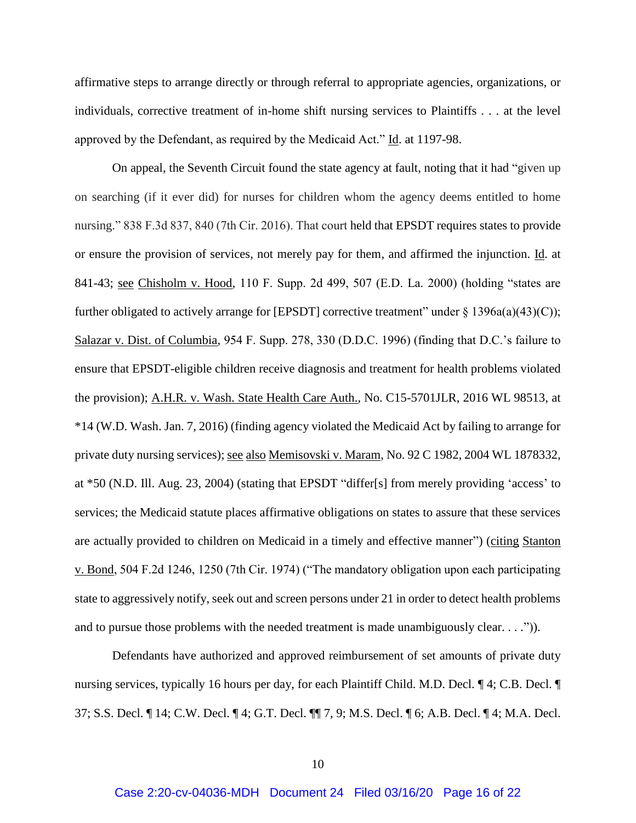affirmative steps to arrange directly or through referral to appropriate agencies, organizations, or individuals, corrective treatment of in-home shift nursing services to Plaintiffs . . . at the level approved by the Defendant, as required by the Medicaid Act." Id. at 1197-98.

On appeal, the Seventh Circuit found the state agency at fault, noting that it had "given up on searching (if it ever did) for nurses for children whom the agency deems entitled to home nursing." 838 F.3d 837, 840 (7th Cir. 2016). That court held that EPSDT requires states to provide or ensure the provision of services, not merely pay for them, and affirmed the injunction. Id. at 841-43; see Chisholm v. Hood, 110 F. Supp. 2d 499, 507 (E.D. La. 2000) (holding "states are further obligated to actively arrange for [EPSDT] corrective treatment" under  $\S 1396a(a)(43)(C)$ ; Salazar v. Dist. of Columbia*,* 954 F. Supp. 278, 330 (D.D.C. 1996) (finding that D.C.'s failure to ensure that EPSDT-eligible children receive diagnosis and treatment for health problems violated the provision); A.H.R. v. Wash. State Health Care Auth.*,* No. C15-5701JLR, 2016 WL 98513, at \*14 (W.D. Wash. Jan. 7, 2016) (finding agency violated the Medicaid Act by failing to arrange for private duty nursing services); <u>see also Memisovski v. Maram</u>, No. 92 C 1982, 2004 WL 1878332, at \*50 (N.D. Ill. Aug. 23, 2004) (stating that EPSDT "differ[s] from merely providing 'access' to services; the Medicaid statute places affirmative obligations on states to assure that these services are actually provided to children on Medicaid in a timely and effective manner") (citing Stanton v. Bond, 504 F.2d 1246, 1250 (7th Cir. 1974) ("The mandatory obligation upon each participating state to aggressively notify, seek out and screen persons under 21 in order to detect health problems and to pursue those problems with the needed treatment is made unambiguously clear. . . .")).

Defendants have authorized and approved reimbursement of set amounts of private duty nursing services, typically 16 hours per day, for each Plaintiff Child. M.D. Decl. ¶ 4; C.B. Decl. ¶ 37; S.S. Decl. ¶ 14; C.W. Decl. ¶ 4; G.T. Decl. ¶¶ 7, 9; M.S. Decl. ¶ 6; A.B. Decl. ¶ 4; M.A. Decl.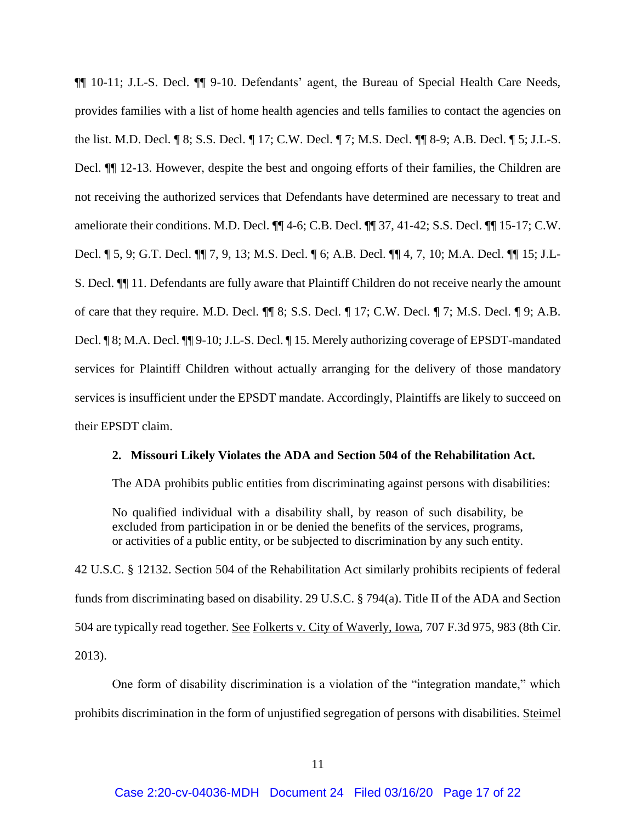¶¶ 10-11; J.L-S. Decl. ¶¶ 9-10. Defendants' agent, the Bureau of Special Health Care Needs, provides families with a list of home health agencies and tells families to contact the agencies on the list. M.D. Decl. ¶ 8; S.S. Decl. ¶ 17; C.W. Decl. ¶ 7; M.S. Decl. ¶¶ 8-9; A.B. Decl. ¶ 5; J.L-S. Decl. ¶¶ 12-13. However, despite the best and ongoing efforts of their families, the Children are not receiving the authorized services that Defendants have determined are necessary to treat and ameliorate their conditions. M.D. Decl. ¶¶ 4-6; C.B. Decl. ¶¶ 37, 41-42; S.S. Decl. ¶¶ 15-17; C.W. Decl. ¶ 5, 9; G.T. Decl. ¶¶ 7, 9, 13; M.S. Decl. ¶ 6; A.B. Decl. ¶¶ 4, 7, 10; M.A. Decl. ¶¶ 15; J.L-S. Decl. ¶¶ 11. Defendants are fully aware that Plaintiff Children do not receive nearly the amount of care that they require. M.D. Decl. ¶¶ 8; S.S. Decl. ¶ 17; C.W. Decl. ¶ 7; M.S. Decl. ¶ 9; A.B. Decl. ¶ 8; M.A. Decl. ¶¶ 9-10; J.L-S. Decl. ¶ 15. Merely authorizing coverage of EPSDT-mandated services for Plaintiff Children without actually arranging for the delivery of those mandatory services is insufficient under the EPSDT mandate. Accordingly, Plaintiffs are likely to succeed on their EPSDT claim.

#### **2. Missouri Likely Violates the ADA and Section 504 of the Rehabilitation Act.**

The ADA prohibits public entities from discriminating against persons with disabilities:

No qualified individual with a disability shall, by reason of such disability, be excluded from participation in or be denied the benefits of the services, programs, or activities of a public entity, or be subjected to discrimination by any such entity.

42 U.S.C. § 12132. Section 504 of the Rehabilitation Act similarly prohibits recipients of federal funds from discriminating based on disability. 29 U.S.C. § 794(a). Title II of the ADA and Section 504 are typically read together. See Folkerts v. City of Waverly, Iowa, 707 F.3d 975, 983 (8th Cir. 2013).

One form of disability discrimination is a violation of the "integration mandate," which prohibits discrimination in the form of unjustified segregation of persons with disabilities. Steimel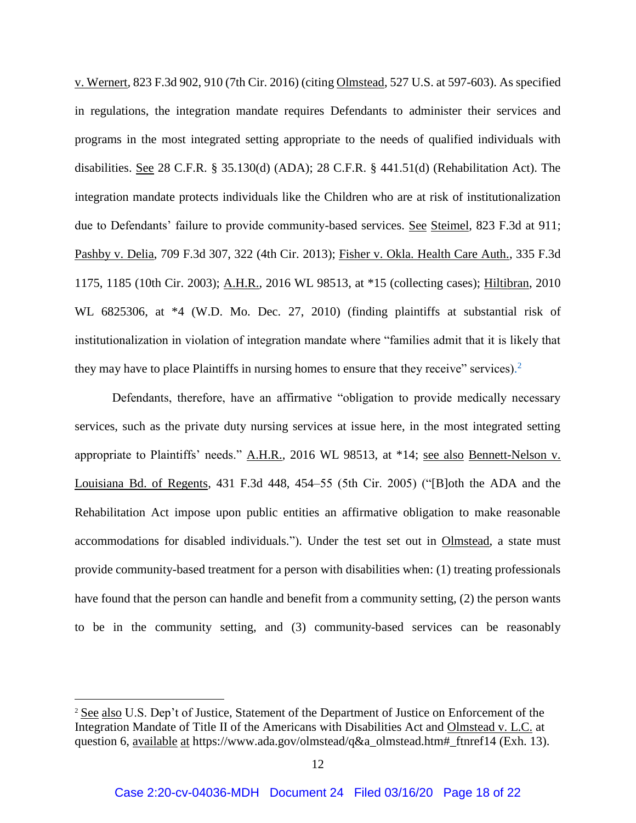v. Wernert*,* 823 F.3d 902, 910 (7th Cir. 2016) (citing Olmstead, 527 U.S. at 597-603). As specified in regulations, the integration mandate requires Defendants to administer their services and programs in the most integrated setting appropriate to the needs of qualified individuals with disabilities. See 28 C.F.R. § 35.130(d) (ADA); 28 C.F.R. § 441.51(d) (Rehabilitation Act). The integration mandate protects individuals like the Children who are at risk of institutionalization due to Defendants' failure to provide community-based services. See Steimel*,* 823 F.3d at 911; Pashby v. Delia, 709 F.3d 307, 322 (4th Cir. 2013); Fisher v. Okla. Health Care Auth., 335 F.3d 1175, 1185 (10th Cir. 2003); A.H.R.*,* 2016 WL 98513, at \*15 (collecting cases); Hiltibran, 2010 WL 6825306, at \*4 (W.D. Mo. Dec. 27, 2010) (finding plaintiffs at substantial risk of institutionalization in violation of integration mandate where "families admit that it is likely that they may have to place Plaintiffs in nursing homes to ensure that they receive" services).<sup>2</sup>

Defendants, therefore, have an affirmative "obligation to provide medically necessary services, such as the private duty nursing services at issue here, in the most integrated setting appropriate to Plaintiffs' needs." A.H.R.*,* 2016 WL 98513, at \*14; see also Bennett-Nelson v. Louisiana Bd. of Regents, 431 F.3d 448, 454–55 (5th Cir. 2005) ("[B]oth the ADA and the Rehabilitation Act impose upon public entities an affirmative obligation to make reasonable accommodations for disabled individuals."). Under the test set out in Olmstead, a state must provide community-based treatment for a person with disabilities when: (1) treating professionals have found that the person can handle and benefit from a community setting, (2) the person wants to be in the community setting, and (3) community-based services can be reasonably

 $\overline{a}$ 

<sup>2</sup> See also U.S. Dep't of Justice, Statement of the Department of Justice on Enforcement of the Integration Mandate of Title II of the Americans with Disabilities Act and Olmstead v. L.C. at question 6, available at https://www.ada.gov/olmstead/q&a\_olmstead.htm#\_ftnref14 (Exh. 13).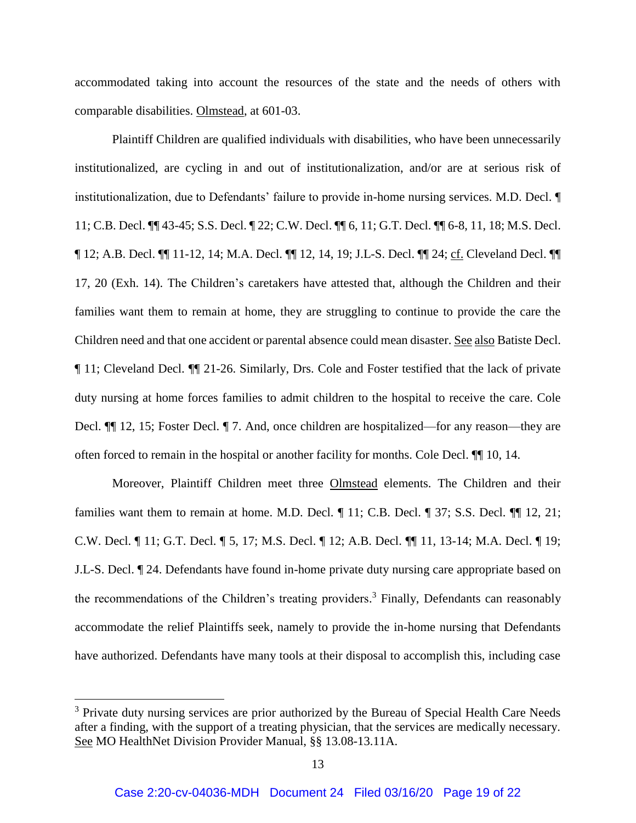accommodated taking into account the resources of the state and the needs of others with comparable disabilities. Olmstead, at 601-03.

Plaintiff Children are qualified individuals with disabilities, who have been unnecessarily institutionalized, are cycling in and out of institutionalization, and/or are at serious risk of institutionalization, due to Defendants' failure to provide in-home nursing services. M.D. Decl. ¶ 11; C.B. Decl. ¶¶ 43-45; S.S. Decl. ¶ 22; C.W. Decl. ¶¶ 6, 11; G.T. Decl. ¶¶ 6-8, 11, 18; M.S. Decl. ¶ 12; A.B. Decl. ¶¶ 11-12, 14; M.A. Decl. ¶¶ 12, 14, 19; J.L-S. Decl. ¶¶ 24; cf. Cleveland Decl. ¶¶ 17, 20 (Exh. 14). The Children's caretakers have attested that, although the Children and their families want them to remain at home, they are struggling to continue to provide the care the Children need and that one accident or parental absence could mean disaster. See also Batiste Decl. ¶ 11; Cleveland Decl. ¶¶ 21-26. Similarly, Drs. Cole and Foster testified that the lack of private duty nursing at home forces families to admit children to the hospital to receive the care. Cole Decl. ¶¶ 12, 15; Foster Decl. ¶ 7. And, once children are hospitalized—for any reason—they are often forced to remain in the hospital or another facility for months. Cole Decl. ¶¶ 10, 14.

Moreover, Plaintiff Children meet three Olmstead elements. The Children and their families want them to remain at home. M.D. Decl. ¶ 11; C.B. Decl. ¶ 37; S.S. Decl. ¶ 12, 21; C.W. Decl. ¶ 11; G.T. Decl. ¶ 5, 17; M.S. Decl. ¶ 12; A.B. Decl. ¶¶ 11, 13-14; M.A. Decl. ¶ 19; J.L-S. Decl. ¶ 24. Defendants have found in-home private duty nursing care appropriate based on the recommendations of the Children's treating providers.<sup>3</sup> Finally, Defendants can reasonably accommodate the relief Plaintiffs seek, namely to provide the in-home nursing that Defendants have authorized. Defendants have many tools at their disposal to accomplish this, including case

 $\overline{a}$ 

<sup>&</sup>lt;sup>3</sup> Private duty nursing services are prior authorized by the Bureau of Special Health Care Needs after a finding, with the support of a treating physician, that the services are medically necessary. See MO HealthNet Division Provider Manual, §§ 13.08-13.11A.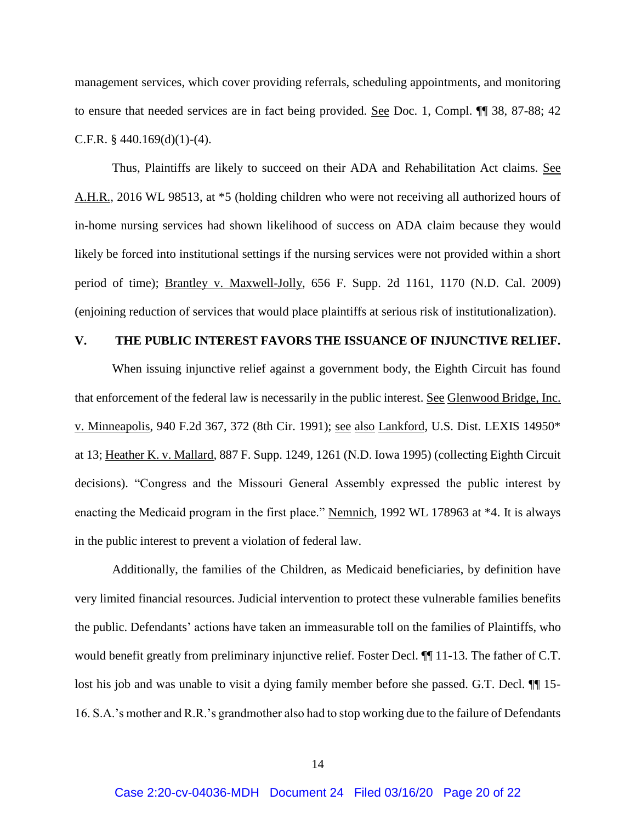management services, which cover providing referrals, scheduling appointments, and monitoring to ensure that needed services are in fact being provided. See Doc. 1, Compl. ¶¶ 38, 87-88; 42 C.F.R.  $§$  440.169(d)(1)-(4).

Thus, Plaintiffs are likely to succeed on their ADA and Rehabilitation Act claims. See A.H.R.*,* 2016 WL 98513, at \*5 (holding children who were not receiving all authorized hours of in-home nursing services had shown likelihood of success on ADA claim because they would likely be forced into institutional settings if the nursing services were not provided within a short period of time); Brantley v. Maxwell-Jolly*,* 656 F. Supp. 2d 1161, 1170 (N.D. Cal. 2009) (enjoining reduction of services that would place plaintiffs at serious risk of institutionalization).

### **V. THE PUBLIC INTEREST FAVORS THE ISSUANCE OF INJUNCTIVE RELIEF.**

When issuing injunctive relief against a government body, the Eighth Circuit has found that enforcement of the federal law is necessarily in the public interest. See Glenwood Bridge, Inc. v. Minneapolis, 940 F.2d 367, 372 (8th Cir. 1991); see also Lankford, U.S. Dist. LEXIS 14950\* at 13; Heather K. v. Mallard*,* 887 F. Supp. 1249, 1261 (N.D. Iowa 1995) (collecting Eighth Circuit decisions). "Congress and the Missouri General Assembly expressed the public interest by enacting the Medicaid program in the first place." Nemnich*,* 1992 WL 178963 at \*4. It is always in the public interest to prevent a violation of federal law.

Additionally, the families of the Children, as Medicaid beneficiaries, by definition have very limited financial resources. Judicial intervention to protect these vulnerable families benefits the public. Defendants' actions have taken an immeasurable toll on the families of Plaintiffs, who would benefit greatly from preliminary injunctive relief. Foster Decl.  $\P$  11-13. The father of C.T. lost his job and was unable to visit a dying family member before she passed. G.T. Decl.  $\P$  15-16. S.A.'s mother and R.R.'s grandmother also had to stop working due to the failure of Defendants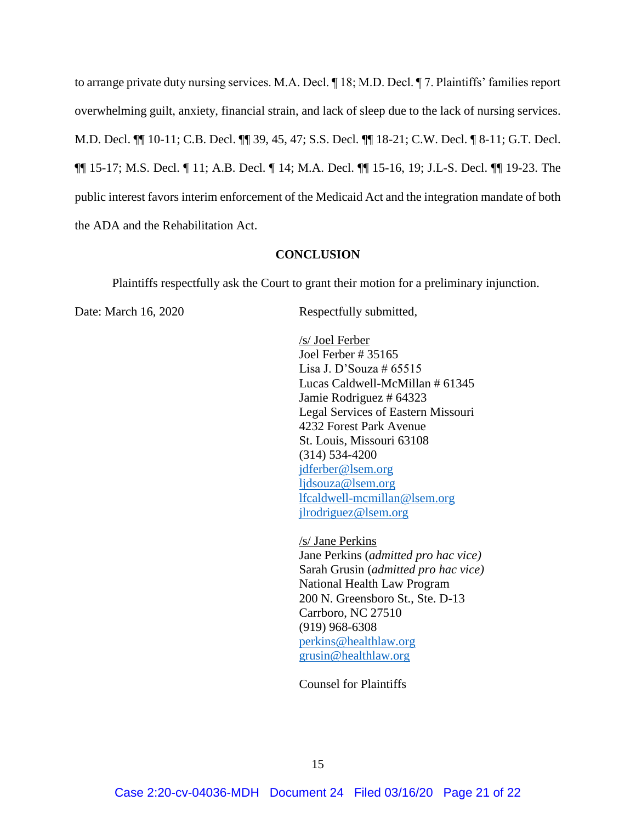to arrange private duty nursing services. M.A. Decl. ¶ 18; M.D. Decl. ¶ 7. Plaintiffs' families report overwhelming guilt, anxiety, financial strain, and lack of sleep due to the lack of nursing services. M.D. Decl. ¶¶ 10-11; C.B. Decl. ¶¶ 39, 45, 47; S.S. Decl. ¶¶ 18-21; C.W. Decl. ¶ 8-11; G.T. Decl. ¶¶ 15-17; M.S. Decl. ¶ 11; A.B. Decl. ¶ 14; M.A. Decl. ¶¶ 15-16, 19; J.L-S. Decl. ¶¶ 19-23. The public interest favors interim enforcement of the Medicaid Act and the integration mandate of both the ADA and the Rehabilitation Act.

#### **CONCLUSION**

Plaintiffs respectfully ask the Court to grant their motion for a preliminary injunction.

Date: March 16, 2020 Respectfully submitted,

/s/ Joel Ferber Joel Ferber # 35165 Lisa J. D'Souza # 65515 Lucas Caldwell-McMillan # 61345 Jamie Rodriguez # 64323 Legal Services of Eastern Missouri 4232 Forest Park Avenue St. Louis, Missouri 63108 (314) 534-4200 [jdferber@lsem.org](mailto:jdferber@lsem.org) [ljdsouza@lsem.org](mailto:ljdsouza@lsem.org) [lfcaldwell-mcmillan@lsem.org](mailto:lfcaldwell-mcmillan@lsem.org) [jlrodriguez@lsem.org](mailto:jlrodriguez@lsem.org)

/s/ Jane Perkins Jane Perkins (*admitted pro hac vice)* Sarah Grusin (*admitted pro hac vice)* National Health Law Program 200 N. Greensboro St., Ste. D-13 Carrboro, NC 27510 (919) 968-6308 [perkins@healthlaw.org](mailto:perkins@healthlaw.org) [grusin@healthlaw.org](mailto:grusin@healthlaw.org)

Counsel for Plaintiffs